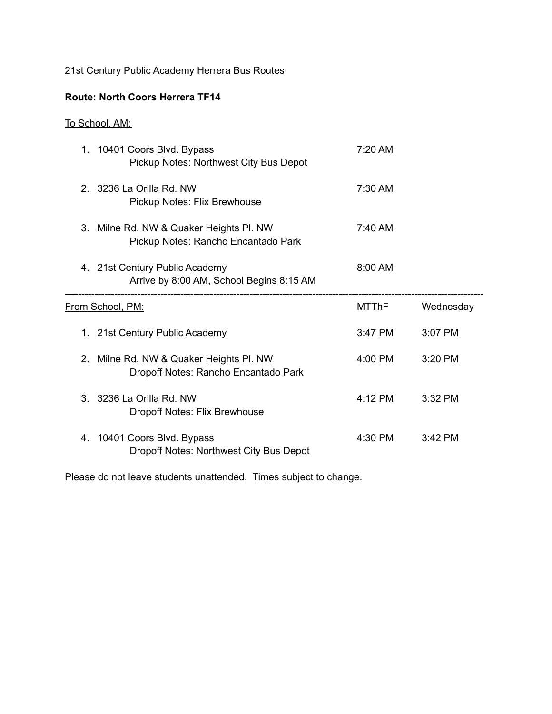21st Century Public Academy Herrera Bus Routes

## **Route: North Coors Herrera TF14**

## To School, AM:

|                         | 1. 10401 Coors Blvd. Bypass<br>Pickup Notes: Northwest City Bus Depot          | 7:20 AM           |           |
|-------------------------|--------------------------------------------------------------------------------|-------------------|-----------|
| 2                       | 3236 La Orilla Rd. NW<br>Pickup Notes: Flix Brewhouse                          | 7:30 AM           |           |
|                         | 3. Milne Rd. NW & Quaker Heights Pl. NW<br>Pickup Notes: Rancho Encantado Park | $7:40 \text{ AM}$ |           |
|                         | 4. 21st Century Public Academy<br>Arrive by 8:00 AM, School Begins 8:15 AM     | $8:00$ AM         |           |
| <u>From School, PM:</u> |                                                                                |                   |           |
|                         |                                                                                | MTThF             | Wednesday |
|                         | 1. 21st Century Public Academy                                                 | 3:47 PM           | 3:07 PM   |
| $2_{-}$                 | Milne Rd. NW & Quaker Heights Pl. NW<br>Dropoff Notes: Rancho Encantado Park   | 4:00 PM           | 3:20 PM   |
|                         | 3. 3236 La Orilla Rd. NW<br>Dropoff Notes: Flix Brewhouse                      | 4:12 PM           | $3:32$ PM |

Please do not leave students unattended. Times subject to change.